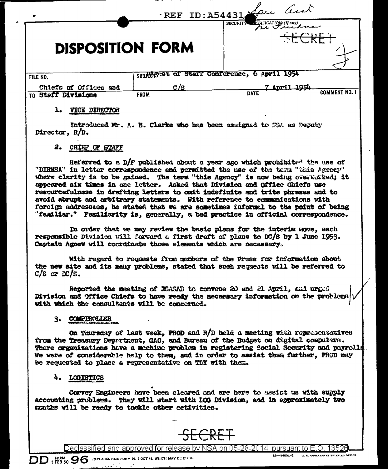| REF ID: A54431 Spie and<br>۰ |             |                                                   |                      |
|------------------------------|-------------|---------------------------------------------------|----------------------|
| <b>DISPOSITION FORM</b>      |             | ASSIFICATION (If any)<br><b>SECURITY</b><br>ノヘートパ |                      |
| FILE NO.                     |             | SUBERCESt of Starf Conference, 6 April 1954       |                      |
| Chiefs of Offices and        | <u>C/S</u>  | <u>April 1954</u>                                 |                      |
| TO Staff Divisions           | <b>FROM</b> | <b>DATE</b>                                       | <b>COMMENT NO. 1</b> |
| VICE DIRECTOR                |             |                                                   |                      |

Introduced Mr. A. B. Clarke who has been assigned to NSA as Deputy Director, R/D.

## 2. CHIEF OF STAFF

Referred to a D/F published about a year ago which prohibited the use of "DIRNSA" in letter correspondence and permitted the use of the term "this Agency" where clarity is to be gained. The term "this Agency" is now being overwhited; it appeared aix times in one letter. Asked that Division and Office Chiefs use rescureefulness in drafting letters to cait indefinite and trite phrases and to avoid abrupt and arbitrary statements. With reference to communications with foreign addressees, he stated that we are sometimes informal to the point of being "familiar." Familiarity is, generally, a bad practice in official correspondence.

In order that we may review the basic plans for the interim move, each responsible Division vill forward a first draft of plans to DC/S by 1 June 1953. Captain Agnew will coordinate those elements which are necessary.

With regard to requests from members of the Press for information about the new site and its many problems, stated that such requests will be referred to  $C/S$  or  $DC/S$ .

Reported the meeting of NSASAB to convene 20 and 21 April, said urged Division and Office Chiefs to have ready the necessary information on the problems with which the consultants will be concerned.

#### 3. COMPEROLLER

On Thursday of last week, PROD and R/D held a meeting with representatives from the Treasury Department, GAO, and Bureau of the Budget on digital computers. There organizations have a machine problem in registering Social Security and payrells. We were of considerable help to them, and in order to assist them further, PROD may be requested to place a representative on TDY with them.

## 4. LOGISTICS

 $\mathbf{DD}_1^{\text{FDRM}}_{\text{FEB 50}}$   $\mathbf{96}$  replaces nme form 96, 1 oct 48, which may be used.

Corvey Engineers have been cleared and are here to assist us with supply accounting problems. They will start with LOG Division, and in approximately two months will be ready to tackle other activities.



Declassified and approved for release by NSA on 05-28-2014 pursuant to E.O. 13526